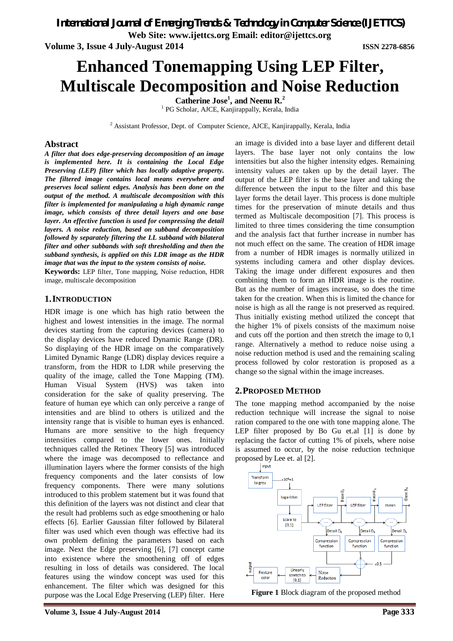*International Journal of Emerging Trends & Technology in Computer Science (IJETTCS)*

**Web Site: www.ijettcs.org Email: editor@ijettcs.org** 

**Volume 3, Issue 4 July-August 2014 ISSN 2278-6856**

# **Enhanced Tonemapping Using LEP Filter, Multiscale Decomposition and Noise Reduction**

**Catherine Jose<sup>1</sup> , and Neenu R.<sup>2</sup>**

<sup>1</sup> PG Scholar, AJCE, Kanjirappally, Kerala, India

<sup>2</sup> Assistant Professor, Dept. of Computer Science, AJCE, Kanjirappally, Kerala, India

### **Abstract**

*A filter that does edge-preserving decomposition of an image is implemented here. It is containing the Local Edge Preserving (LEP) filter which has locally adaptive property. The filtered image contains local means everywhere and preserves local salient edges. Analysis has been done on the output of the method. A multiscale decomposition with this filter is implemented for manipulating a high dynamic range image, which consists of three detail layers and one base layer. An effective function is used for compressing the detail layers. A noise reduction, based on subband decomposition followed by separately filtering the LL subband with bilateral filter and other subbands with soft thresholding and then the subband synthesis, is applied on this LDR image as the HDR image that was the input to the system consists of noise.*

**Keywords:** LEP filter, Tone mapping, Noise reduction, HDR image, multiscale decomposition

### **1.INTRODUCTION**

HDR image is one which has high ratio between the highest and lowest intensities in the image. The normal devices starting from the capturing devices (camera) to the display devices have reduced Dynamic Range (DR). So displaying of the HDR image on the comparatively Limited Dynamic Range (LDR) display devices require a transform, from the HDR to LDR while preserving the quality of the image, called the Tone Mapping (TM). Human Visual System (HVS) was taken into consideration for the sake of quality preserving. The feature of human eye which can only perceive a range of intensities and are blind to others is utilized and the intensity range that is visible to human eyes is enhanced. Humans are more sensitive to the high frequency intensities compared to the lower ones. Initially techniques called the Retinex Theory [5] was introduced where the image was decomposed to reflectance and illumination layers where the former consists of the high frequency components and the later consists of low frequency components. There were many solutions introduced to this problem statement but it was found that this definition of the layers was not distinct and clear that the result had problems such as edge smoothening or halo effects [6]. Earlier Gaussian filter followed by Bilateral filter was used which even though was effective had its own problem defining the parameters based on each image. Next the Edge preserving [6], [7] concept came into existence where the smoothening off of edges resulting in loss of details was considered. The local features using the window concept was used for this enhancement. The filter which was designed for this purpose was the Local Edge Preserving (LEP) filter. Here

an image is divided into a base layer and different detail layers. The base layer not only contains the low intensities but also the higher intensity edges. Remaining intensity values are taken up by the detail layer. The output of the LEP filter is the base layer and taking the difference between the input to the filter and this base layer forms the detail layer. This process is done multiple times for the preservation of minute details and thus termed as Multiscale decomposition [7]. This process is limited to three times considering the time consumption and the analysis fact that further increase in number has not much effect on the same. The creation of HDR image from a number of HDR images is normally utilized in systems including camera and other display devices. Taking the image under different exposures and then combining them to form an HDR image is the routine. But as the number of images increase, so does the time taken for the creation. When this is limited the chance for noise is high as all the range is not preserved as required. Thus initially existing method utilized the concept that the higher 1% of pixels consists of the maximum noise and cuts off the portion and then stretch the image to 0,1 range. Alternatively a method to reduce noise using a noise reduction method is used and the remaining scaling process followed by color restoration is proposed as a change so the signal within the image increases.

# **2.PROPOSED METHOD**

The tone mapping method accompanied by the noise reduction technique will increase the signal to noise ration compared to the one with tone mapping alone. The LEP filter proposed by Bo Gu et.al [1] is done by replacing the factor of cutting 1% of pixels, where noise is assumed to occur, by the noise reduction technique proposed by Lee et. al  $[2]$ .



**Figure 1** Block diagram of the proposed method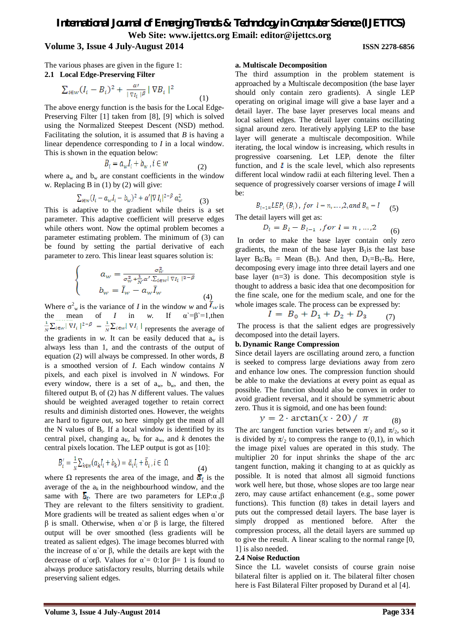# *International Journal of Emerging Trends & Technology in Computer Science (IJETTCS)* **Web Site: www.ijettcs.org Email: editor@ijettcs.org Volume 3, Issue 4 July-August 2014 ISSN 2278-6856**

The various phases are given in the figure 1:

### **2.1 Local Edge-Preserving Filter**

$$
\sum_{i \in w} (I_i - B_i)^2 + \frac{\alpha}{|\nabla I_i|^{\beta}} |\nabla B_i|^2 \tag{1}
$$

The above energy function is the basis for the Local Edge-Preserving Filter [1] taken from [8], [9] which is solved using the Normalized Steepest Descent (NSD) method. Facilitating the solution, it is assumed that *B* is having a linear dependence corresponding to *I* in a local window. This is shown in the equation below:

$$
B_i = a_w I_i + b_w , i \in w \tag{2}
$$

where  $a_w$  and  $b_w$  are constant coefficients in the window w. Replacing B in (1) by (2) will give:

$$
\sum_{i \in w} (I_i - a_w I_i - b_w)^2 + \alpha' |\nabla I_i|^{2-\beta} a_w^2 \tag{3}
$$

This is adaptive to the gradient while theirs is a set parameter. This adaptive coefficient will preserve edges while others wont. Now the optimal problem becomes a parameter estimating problem. The minimum of (3) can be found by setting the partial derivative of each parameter to zero. This linear least squares solution is:

$$
a_w = \frac{\sigma_w^2}{\sigma_w^2 + \frac{1}{N} \alpha' \cdot \Sigma_{i \in w} |\nabla I_i|^{2-\beta}}
$$

$$
b_w = \overline{I}_w - a_w \overline{I}_w
$$
(4)

Where  $\sigma_w^2$  is the variance of *I* in the window *w* and  $I_{\text{w}}$  is the mean of *I* in *w*. If  $\alpha' = \beta' = 1$ , then represents the average of the gradients in  $w$ . It can be easily deduced that  $a_w$  is always less than 1, and the contrasts of the output of equation (2) will always be compressed. In other words, *B* is a smoothed version of *I*. Each window contains *N* pixels, and each pixel is involved in *N* windows. For every window, there is a set of  $a_w$ ,  $b_w$ , and then, the filtered output  $B_i$  of (2) has *N* different values. The values should be weighted averaged together to retain correct results and diminish distorted ones. However, the weights are hard to figure out, so here simply get the mean of all the N values of  $B_i$ . If a local window is identified by its central pixel, changing  $a_K$ ,  $b_K$  for  $a_w$ , and *k* denotes the central pixels location. The LEP output is got as [10]:

$$
B_i' = \frac{1}{N} \sum_{k \in w} (a_k I_i + b_k) = \overline{a}_i I_i + \overline{b}_i, i \in \Omega
$$
\n<sup>(4)</sup>

where  $\Omega$  represents the area of the image, and  $\bar{a}_i$  is the average of the  $a_k$  in the neighbourhood window, and the same with  $\overline{b}_i$ . There are two parameters for LEP: $\alpha$ ,  $\beta$ They are relevant to the filters sensitivity to gradient. More gradients will be treated as salient edges when  $\alpha$  or β is small. Otherwise, when α`or β is large, the filtered output will be over smoothed (less gradients will be treated as salient edges). The image becomes blurred with the increase of α'or β, while the details are kept with the decrease of α`orβ. Values for  $\alpha$ <sup>'</sup> = 0:1or β = 1 is found to always produce satisfactory results, blurring details while preserving salient edges.

### **a. Multiscale Decomposition**

The third assumption in the problem statement is approached by a Multiscale decomposition (the base layer should only contain zero gradients). A single LEP operating on original image will give a base layer and a detail layer. The base layer preserves local means and local salient edges. The detail layer contains oscillating signal around zero. Iteratively applying LEP to the base layer will generate a multiscale decomposition. While iterating, the local window is increasing, which results in progressive coarsening. Let  $LEP_i$  denote the filter function, and  $\mathbf{l}$  is the scale level, which also represents different local window radii at each filtering level. Then a sequence of progressively coarser versions of image  *will* be:

$$
B_{l-1}=LEP_l(B_l)
$$
, for  $l = n, ..., 2, and B_n = I$  (5)

The detail layers will get as:

$$
D_l = B_l - B_{l-1} \text{ , for } l = n, \dots, 2 \tag{6}
$$

In order to make the base layer contain only zero gradients, the mean of the base layer  $B_1$  is the last base layer  $B_0:B_0 = \text{Mean } (B_1)$ . And then,  $D_1=B_1-B_0$ . Here, decomposing every image into three detail layers and one base layer  $(n=3)$  is done. This decomposition style is thought to address a basic idea that one decomposition for the fine scale, one for the medium scale, and one for the whole images scale. The process can be expressed by:

$$
I = B_0 + D_1 + D_2 + D_3 \qquad (7)
$$

The process is that the salient edges are progressively decomposed into the detail layers.

### **b. Dynamic Range Compression**

Since detail layers are oscillating around zero, a function is seeked to compress large deviations away from zero and enhance low ones. The compression function should be able to make the deviations at every point as equal as possible. The function should also be convex in order to avoid gradient reversal, and it should be symmetric about zero. Thus it is sigmoid, and one has been found:

$$
y = 2 \cdot \arctan(x \cdot 20) / \pi \qquad (8)
$$

The arc tangent function varies between  $\pi/2$  and  $\pi/2$ , so it is divided by  $\pi/2$  to compress the range to (0,1), in which the image pixel values are operated in this study. The multiplier 20 for input shrinks the shape of the arc tangent function, making it changing to at as quickly as possible. It is noted that almost all sigmoid functions work well here, but those, whose slopes are too large near zero, may cause artifact enhancement (e.g., some power functions). This function (8) takes in detail layers and puts out the compressed detail layers. The base layer is simply dropped as mentioned before. After the compression process, all the detail layers are summed up to give the result. A linear scaling to the normal range [0, 1] is also needed.

### **2.4 Noise Reduction**

Since the LL wavelet consists of course grain noise bilateral filter is applied on it. The bilateral filter chosen here is Fast Bilateral Filter proposed by Durand et al [4].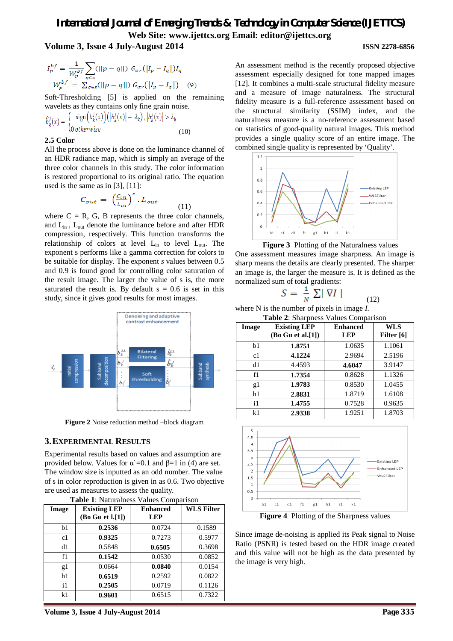# *International Journal of Emerging Trends & Technology in Computer Science (IJETTCS)* **Web Site: www.ijettcs.org Email: editor@ijettcs.org Volume 3, Issue 4 July-August 2014 ISSN 2278-6856**

$$
I_p^{bf} = \frac{1}{W_p^{bf}} \sum_{q \in s} (\|p - q\|) G_{\sigma r} (|I_p - I_q|) I_q
$$
  

$$
W_p^{bf} = \sum_{q \in s} (\|p - q\|) G_{\sigma r} (|I_p - I_q|)
$$
 (9)

Soft-Thresholding [5] is applied on the remaining wavelets as they contains only fine grain noise.

$$
\hat{b}_k^j(x) = \begin{cases}\n\text{sign}\left(b_k^j(x)\right)\left(\left|b_k^j(x)\right| - \lambda_k\right), \left|b_k^j(x)\right| > \lambda_k \\
0 \text{ otherwise}\n\end{cases} \tag{10}
$$

### **2.5 Color**

All the process above is done on the luminance channel of an HDR radiance map, which is simply an average of the three color channels in this study. The color information is restored proportional to its original ratio. The equation used is the same as in [3], [11]:

$$
C_{out} = \left(\frac{c_{in}}{L_{in}}\right)^s \cdot L_{out} \tag{11}
$$

where  $C = R$ , G, B represents the three color channels, and  $L_{in}$ ,  $L_{out}$  denote the luminance before and after HDR compression, respectively. This function transforms the relationship of colors at level  $L_{in}$  to level  $L_{out}$ . The exponent s performs like a gamma correction for colors to be suitable for display. The exponent *s* values between 0.5 and 0.9 is found good for controlling color saturation of the result image. The larger the value of s is, the more saturated the result is. By default  $s = 0.6$  is set in this study, since it gives good results for most images.



**Figure 2** Noise reduction method –block diagram

### **3.EXPERIMENTAL RESULTS**

Experimental results based on values and assumption are provided below. Values for  $\alpha = 0.1$  and  $\beta = 1$  in (4) are set. The window size is inputted as an odd number. The value of s in color reproduction is given in as 0.6. Two objective are used as measures to assess the quality.

| Image          | <b>Existing LEP</b> | <b>Enhanced</b> | <b>WLS Filter</b> |
|----------------|---------------------|-----------------|-------------------|
|                | (Bo Gu et 1.[1])    | <b>LEP</b>      |                   |
| b1             | 0.2536              | 0.0724          | 0.1589            |
| c1             | 0.9325              | 0.7273          | 0.5977            |
| d1             | 0.5848              | 0.6505          | 0.3698            |
| f1             | 0.1542              | 0.0530          | 0.0852            |
| g1             | 0.0664              | 0.0840          | 0.0154            |
| h1             | 0.6519              | 0.2592          | 0.0822            |
| $\mathbf{i}$   | 0.2505              | 0.0719          | 0.1126            |
| k <sub>1</sub> | 0.9601              | 0.6515          | 0.7322            |

|  |  | Table 1: Naturalness Values Comparison |  |  |  |
|--|--|----------------------------------------|--|--|--|
|--|--|----------------------------------------|--|--|--|

An assessment method is the recently proposed objective assessment especially designed for tone mapped images [12]. It combines a multi-scale structural fidelity measure and a measure of image naturalness. The structural fidelity measure is a full-reference assessment based on the structural similarity (SSIM) index, and the naturalness measure is a no-reference assessment based on statistics of good-quality natural images. This method provides a single quality score of an entire image. The combined single quality is represented by 'Quality'.



**Figure 3** Plotting of the Naturalness values One assessment measures image sharpness. An image is sharp means the details are clearly presented. The sharper an image is, the larger the measure is. It is defined as the normalized sum of total gradients:

$$
S = \frac{1}{N} \sum |\nabla I| \tag{12}
$$

where N is the number of pixels in image *I*.

| Table 2: Sharpness Values Comparison |                                          |                               |                          |
|--------------------------------------|------------------------------------------|-------------------------------|--------------------------|
| Image                                | <b>Existing LEP</b><br>(Bo Gu et al.[1]) | <b>Enhanced</b><br><b>LEP</b> | <b>WLS</b><br>Filter [6] |
| b1                                   | 1.8751                                   | 1.0635                        | 1.1061                   |
| c1                                   | 4.1224                                   | 2.9694                        | 2.5196                   |
| d1                                   | 4.4593                                   | 4.6047                        | 3.9147                   |
| f1                                   | 1.7354                                   | 0.8628                        | 1.1326                   |
| g1                                   | 1.9783                                   | 0.8530                        | 1.0455                   |
| h1                                   | 2.8831                                   | 1.8719                        | 1.6108                   |
| $\mathbf{i}$                         | 1.4755                                   | 0.7528                        | 0.9635                   |
| k <sub>1</sub>                       | 2.9338                                   | 1.9251                        | 1.8703                   |



**Figure 4** Plotting of the Sharpness values

Since image de-noising is applied its Peak signal to Noise Ratio (PSNR) is tested based on the HDR image created and this value will not be high as the data presented by the image is very high.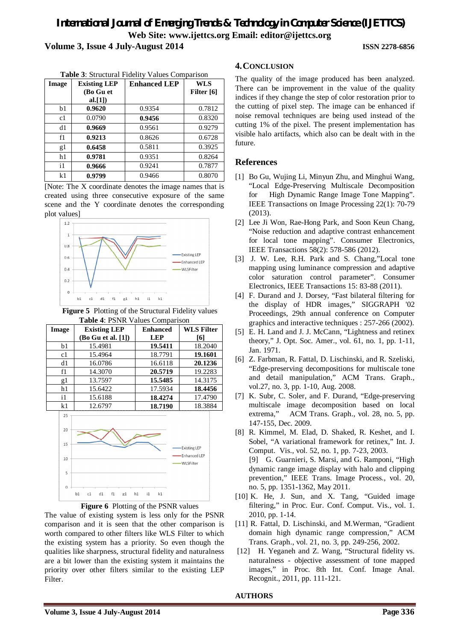# *International Journal of Emerging Trends & Technology in Computer Science (IJETTCS)* **Web Site: www.ijettcs.org Email: editor@ijettcs.org Volume 3, Issue 4 July-August 2014 ISSN 2278-6856**

| Image | <b>Existing LEP</b><br>(Bo Gu et | <b>Enhanced LEP</b> | <b>WLS</b><br>Filter [6] |
|-------|----------------------------------|---------------------|--------------------------|
|       | al. $[1]$                        |                     |                          |
| b1    | 0.9620                           | 0.9354              | 0.7812                   |
| c1    | 0.0790                           | 0.9456              | 0.8320                   |
| d1    | 0.9669                           | 0.9561              | 0.9279                   |
| f1    | 0.9213                           | 0.8626              | 0.6728                   |
| g1    | 0.6458                           | 0.5811              | 0.3925                   |
| h1    | 0.9781                           | 0.9351              | 0.8264                   |
| i1    | 0.9666                           | 0.9241              | 0.7877                   |
| k1    | 0.9799                           | 0.9466              | 0.8070                   |

**Table 3**: Structural Fidelity Values Comparison

[Note: The X coordinate denotes the image names that is created using three consecutive exposure of the same scene and the Y coordinate denotes the corresponding plot values]



**Figure 5** Plotting of the Structural Fidelity values **Table 4**: PSNR Values Comparison

| Image        | <b>Existing LEP</b>        | $\ldots$<br><b>Enhanced</b> | WLS Filter                |
|--------------|----------------------------|-----------------------------|---------------------------|
|              | (Bo Gu et al. [1])         | <b>LEP</b>                  | [6]                       |
| b1           | 15.4981                    | 19.5411                     | 18.2040                   |
| c1           | 15.4964                    | 18.7791                     | 19.1601                   |
| d1           | 16.0786                    | 16.6118                     | 20.1236                   |
| f1           | 14.3070                    | 20.5719                     | 19.2283                   |
| g1           | 13.7597                    | 15.5485                     | 14.3175                   |
| h1           | 15.6422                    | 17.5934                     | 18.4456                   |
| $\mathbf{i}$ | 15.6188                    | 18.4274                     | 17.4790                   |
| k1           | 12.6797                    | 18.7190                     | 18.3884                   |
| 25           |                            |                             |                           |
| 20           |                            |                             |                           |
| 15           |                            |                             | <b>Existing LEP</b>       |
| 10           |                            |                             | Enhanced LEP<br>WLSFilter |
| 5            |                            |                             |                           |
| $\theta$     |                            |                             |                           |
|              | f1<br>b1<br>d1<br>c1<br>g1 | h1<br>k1<br>i1              |                           |



The value of existing system is less only for the PSNR comparison and it is seen that the other comparison is worth compared to other filters like WLS Filter to which the existing system has a priority. So even though the qualities like sharpness, structural fidelity and naturalness are a bit lower than the existing system it maintains the priority over other filters similar to the existing LEP Filter.

# **4.CONCLUSION**

The quality of the image produced has been analyzed. There can be improvement in the value of the quality indices if they change the step of color restoration prior to the cutting of pixel step. The image can be enhanced if noise removal techniques are being used instead of the cutting 1% of the pixel. The present implementation has visible halo artifacts, which also can be dealt with in the future.

# **References**

- [1] Bo Gu, Wujing Li, Minyun Zhu, and Minghui Wang, "Local Edge-Preserving Multiscale Decomposition for High Dynamic Range Image Tone Mapping". IEEE Transactions on Image Processing 22(1): 70-79 (2013).
- [2] Lee Ji Won, Rae-Hong Park, and Soon Keun Chang, "Noise reduction and adaptive contrast enhancement for local tone mapping". Consumer Electronics, IEEE Transactions 58(2): 578-586 (2012).
- [3] J. W. Lee, R.H. Park and S. Chang,"Local tone mapping using luminance compression and adaptive color saturation control parameter". Consumer Electronics, IEEE Transactions 15: 83-88 (2011).
- [4] F. Durand and J. Dorsey, "Fast bilateral filtering for the display of HDR images," SIGGRAPH '02 Proceedings, 29th annual conference on Computer graphics and interactive techniques : 257-266 (2002).
- [5] E. H. Land and J. J. McCann, "Lightness and retinex theory," J. Opt. Soc. Amer., vol. 61, no. 1, pp. 1-11, Jan. 1971.
- [6] Z. Farbman, R. Fattal, D. Lischinski, and R. Szeliski, "Edge-preserving decompositions for multiscale tone and detail manipulation," ACM Trans. Graph., vol.27, no. 3, pp. 1-10, Aug. 2008.
- [7] K. Subr, C. Soler, and F. Durand, "Edge-preserving multiscale image decomposition based on local extrema," ACM Trans. Graph., vol. 28, no. 5, pp. 147-155, Dec. 2009.
- [8] R. Kimmel, M. Elad, D. Shaked, R. Keshet, and I. Sobel, "A variational framework for retinex," Int. J. Comput. Vis., vol. 52, no. 1, pp. 7-23, 2003. [9] G. Guarnieri, S. Marsi, and G. Ramponi, "High dynamic range image display with halo and clipping prevention," IEEE Trans. Image Process., vol. 20, no. 5, pp. 1351-1362, May 2011.
- [10] K. He, J. Sun, and X. Tang, "Guided image filtering," in Proc. Eur. Conf. Comput. Vis., vol. 1. 2010, pp. 1-14.
- [11] R. Fattal, D. Lischinski, and M.Werman, "Gradient" domain high dynamic range compression," ACM Trans. Graph., vol. 21, no. 3, pp. 249-256, 2002.
- [12] H. Yeganeh and Z. Wang, "Structural fidelity vs. naturalness - objective assessment of tone mapped images," in Proc. 8th Int. Conf. Image Anal. Recognit., 2011, pp. 111-121.

# **AUTHORS**